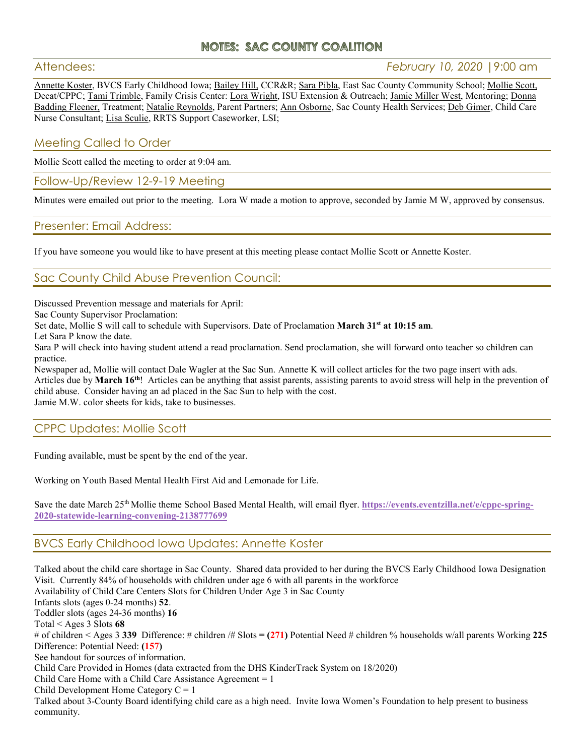## **NOTES: SAC COUNTY COALITION**

# Attendees: *February 10, 2020* |9:00 am

Annette Koster, BVCS Early Childhood Iowa; Bailey Hill, CCR&R; Sara Pibla, East Sac County Community School; Mollie Scott, Decat/CPPC; Tami Trimble, Family Crisis Center: Lora Wright, ISU Extension & Outreach; Jamie Miller West, Mentoring; Donna Badding Fleener, Treatment; Natalie Reynolds, Parent Partners; Ann Osborne, Sac County Health Services; Deb Gimer, Child Care Nurse Consultant; Lisa Sculie, RRTS Support Caseworker, LSI;

## Meeting Called to Order

Mollie Scott called the meeting to order at 9:04 am.

## Follow-Up/Review 12-9-19 Meeting

Minutes were emailed out prior to the meeting. Lora W made a motion to approve, seconded by Jamie M W, approved by consensus.

#### Presenter: Email Address:

If you have someone you would like to have present at this meeting please contact Mollie Scott or Annette Koster.

# Sac County Child Abuse Prevention Council:

Discussed Prevention message and materials for April:

Sac County Supervisor Proclamation:

Set date, Mollie S will call to schedule with Supervisors. Date of Proclamation **March 31st at 10:15 am**.

Let Sara P know the date.

Sara P will check into having student attend a read proclamation. Send proclamation, she will forward onto teacher so children can practice.

Newspaper ad, Mollie will contact Dale Wagler at the Sac Sun. Annette K will collect articles for the two page insert with ads. Articles due by **March 16th**! Articles can be anything that assist parents, assisting parents to avoid stress will help in the prevention of child abuse. Consider having an ad placed in the Sac Sun to help with the cost. Jamie M.W. color sheets for kids, take to businesses.

## CPPC Updates: Mollie Scott

Funding available, must be spent by the end of the year.

Working on Youth Based Mental Health First Aid and Lemonade for Life.

Save the date March 25<sup>th</sup> Mollie theme School Based Mental Health, will email flyer. https://events.eventzilla.net/e/cppc-spring-**2020-statewide-learning-convening-2138777699**

## BVCS Early Childhood Iowa Updates: Annette Koster

Talked about the child care shortage in Sac County. Shared data provided to her during the BVCS Early Childhood Iowa Designation Visit. Currently 84% of households with children under age 6 with all parents in the workforce

Availability of Child Care Centers Slots for Children Under Age 3 in Sac County

Infants slots (ages 0-24 months) **52**. Toddler slots (ages 24-36 months) **16**

Total < Ages 3 Slots **68** 

# of children < Ages 3 **339** Difference: # children /# Slots **= (271)** Potential Need # children % households w/all parents Working **225**  Difference: Potential Need: **(157)**

See handout for sources of information.

Child Care Provided in Homes (data extracted from the DHS KinderTrack System on 18/2020)

Child Care Home with a Child Care Assistance Agreement = 1

Child Development Home Category  $C = 1$ 

Talked about 3-County Board identifying child care as a high need. Invite Iowa Women's Foundation to help present to business community.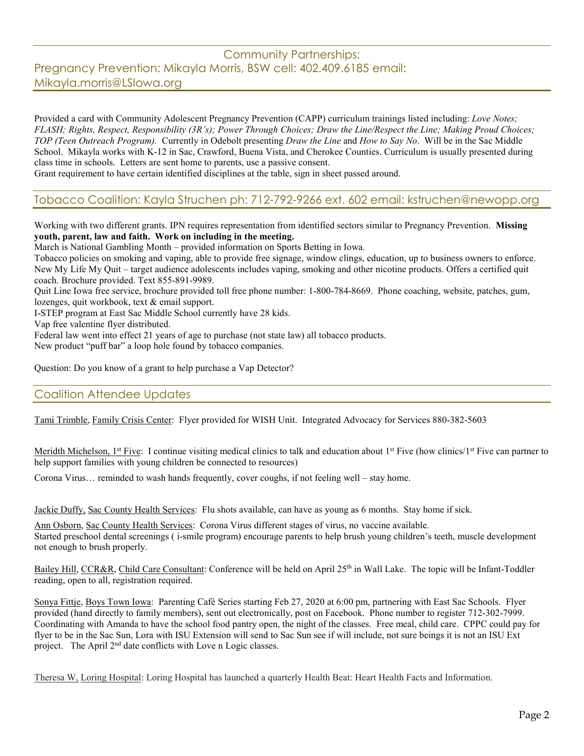#### Community Partnerships: Pregnancy Prevention: Mikayla Morris, BSW cell: 402.409.6185 email: Mikayla.morris@LSIowa.org

Provided a card with Community Adolescent Pregnancy Prevention (CAPP) curriculum trainings listed including: *Love Notes; FLASH; Rights, Respect, Responsibility (3R's); Power Through Choices; Draw the Line/Respect the Line; Making Proud Choices; TOP (Teen Outreach Program).* Currently in Odebolt presenting *Draw the Line* and *How to Say No*. Will be in the Sac Middle School. Mikayla works with K-12 in Sac, Crawford, Buena Vista, and Cherokee Counties. Curriculum is usually presented during class time in schools. Letters are sent home to parents, use a passive consent.

Grant requirement to have certain identified disciplines at the table, sign in sheet passed around.

#### Tobacco Coalition: Kayla Struchen ph: 712-792-9266 ext. 602 email: kstruchen@newopp.org

Working with two different grants. IPN requires representation from identified sectors similar to Pregnancy Prevention. **Missing youth, parent, law and faith. Work on including in the meeting.** 

March is National Gambling Month – provided information on Sports Betting in Iowa.

Tobacco policies on smoking and vaping, able to provide free signage, window clings, education, up to business owners to enforce. New My Life My Quit – target audience adolescents includes vaping, smoking and other nicotine products. Offers a certified quit coach. Brochure provided. Text 855-891-9989.

Quit Line Iowa free service, brochure provided toll free phone number: 1-800-784-8669. Phone coaching, website, patches, gum, lozenges, quit workbook, text & email support.

I-STEP program at East Sac Middle School currently have 28 kids.

Vap free valentine flyer distributed.

Federal law went into effect 21 years of age to purchase (not state law) all tobacco products.

New product "puff bar" a loop hole found by tobacco companies.

Question: Do you know of a grant to help purchase a Vap Detector?

#### Coalition Attendee Updates

Tami Trimble, Family Crisis Center: Flyer provided for WISH Unit. Integrated Advocacy for Services 880-382-5603

Meridth Michelson, 1<sup>st</sup> Five: I continue visiting medical clinics to talk and education about 1<sup>st</sup> Five (how clinics/1<sup>st</sup> Five can partner to help support families with young children be connected to resources)

Corona Virus… reminded to wash hands frequently, cover coughs, if not feeling well – stay home.

Jackie Duffy, Sac County Health Services: Flu shots available, can have as young as 6 months. Stay home if sick.

Ann Osborn, Sac County Health Services: Corona Virus different stages of virus, no vaccine available. Started preschool dental screenings ( i-smile program) encourage parents to help brush young children's teeth, muscle development not enough to brush properly.

Bailey Hill, CCR&R, Child Care Consultant: Conference will be held on April 25<sup>th</sup> in Wall Lake. The topic will be Infant-Toddler reading, open to all, registration required.

Sonya Fittje, Boys Town Iowa: Parenting Café Series starting Feb 27, 2020 at 6:00 pm, partnering with East Sac Schools. Flyer provided (hand directly to family members), sent out electronically, post on Facebook. Phone number to register 712-302-7999. Coordinating with Amanda to have the school food pantry open, the night of the classes. Free meal, child care. CPPC could pay for flyer to be in the Sac Sun, Lora with ISU Extension will send to Sac Sun see if will include, not sure beings it is not an ISU Ext project. The April 2nd date conflicts with Love n Logic classes.

Theresa W, Loring Hospital: Loring Hospital has launched a quarterly Health Beat: Heart Health Facts and Information.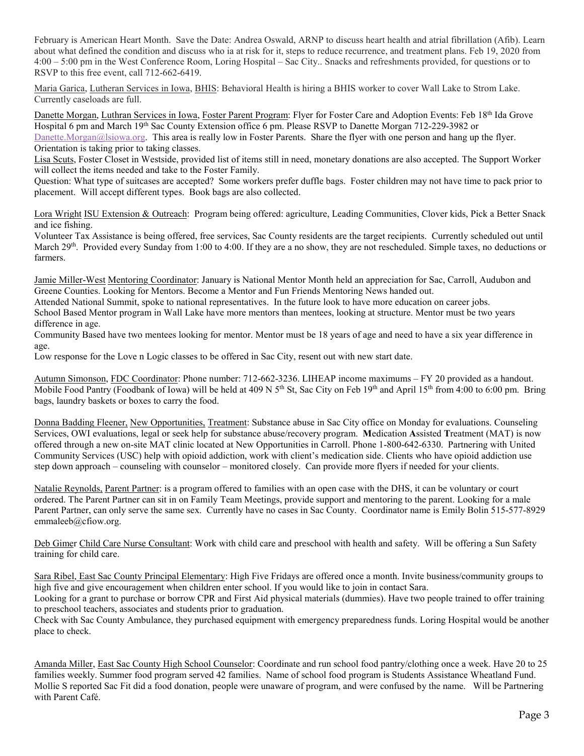February is American Heart Month. Save the Date: Andrea Oswald, ARNP to discuss heart health and atrial fibrillation (Afib). Learn about what defined the condition and discuss who ia at risk for it, steps to reduce recurrence, and treatment plans. Feb 19, 2020 from 4:00 – 5:00 pm in the West Conference Room, Loring Hospital – Sac City.. Snacks and refreshments provided, for questions or to RSVP to this free event, call 712-662-6419.

Maria Garica, Lutheran Services in Iowa, BHIS: Behavioral Health is hiring a BHIS worker to cover Wall Lake to Strom Lake. Currently caseloads are full.

Danette Morgan, Luthran Services in Iowa, Foster Parent Program: Flyer for Foster Care and Adoption Events: Feb 18<sup>th</sup> Ida Grove Hospital 6 pm and March 19th Sac County Extension office 6 pm. Please RSVP to Danette Morgan 712-229-3982 or Danette.Morgan@lsiowa.org. This area is really low in Foster Parents. Share the flyer with one person and hang up the flyer. Orientation is taking prior to taking classes.

Lisa Scuts, Foster Closet in Westside, provided list of items still in need, monetary donations are also accepted. The Support Worker will collect the items needed and take to the Foster Family.

Question: What type of suitcases are accepted? Some workers prefer duffle bags. Foster children may not have time to pack prior to placement. Will accept different types. Book bags are also collected.

Lora Wright ISU Extension & Outreach: Program being offered: agriculture, Leading Communities, Clover kids, Pick a Better Snack and ice fishing.

Volunteer Tax Assistance is being offered, free services, Sac County residents are the target recipients. Currently scheduled out until March 29<sup>th</sup>. Provided every Sunday from 1:00 to 4:00. If they are a no show, they are not rescheduled. Simple taxes, no deductions or farmers.

Jamie Miller-West Mentoring Coordinator: January is National Mentor Month held an appreciation for Sac, Carroll, Audubon and Greene Counties. Looking for Mentors. Become a Mentor and Fun Friends Mentoring News handed out.

Attended National Summit, spoke to national representatives. In the future look to have more education on career jobs.

School Based Mentor program in Wall Lake have more mentors than mentees, looking at structure. Mentor must be two years difference in age.

Community Based have two mentees looking for mentor. Mentor must be 18 years of age and need to have a six year difference in age.

Low response for the Love n Logic classes to be offered in Sac City, resent out with new start date.

Autumn Simonson, FDC Coordinator: Phone number: 712-662-3236. LIHEAP income maximums – FY 20 provided as a handout. Mobile Food Pantry (Foodbank of Iowa) will be held at 409 N  $5<sup>th</sup>$  St, Sac City on Feb 19<sup>th</sup> and April 15<sup>th</sup> from 4:00 to 6:00 pm. Bring bags, laundry baskets or boxes to carry the food.

Donna Badding Fleener, New Opportunities, Treatment: Substance abuse in Sac City office on Monday for evaluations. Counseling Services, OWI evaluations, legal or seek help for substance abuse/recovery program. **M**edication **A**ssisted **T**reatment (MAT) is now offered through a new on-site MAT clinic located at New Opportunities in Carroll. Phone 1-800-642-6330. Partnering with United Community Services (USC) help with opioid addiction, work with client's medication side. Clients who have opioid addiction use step down approach – counseling with counselor – monitored closely. Can provide more flyers if needed for your clients.

Natalie Reynolds, Parent Partner: is a program offered to families with an open case with the DHS, it can be voluntary or court ordered. The Parent Partner can sit in on Family Team Meetings, provide support and mentoring to the parent. Looking for a male Parent Partner, can only serve the same sex. Currently have no cases in Sac County. Coordinator name is Emily Bolin 515-577-8929 emmaleeb@cfiow.org.

Deb Gimer Child Care Nurse Consultant: Work with child care and preschool with health and safety. Will be offering a Sun Safety training for child care.

Sara Ribel, East Sac County Principal Elementary: High Five Fridays are offered once a month. Invite business/community groups to high five and give encouragement when children enter school. If you would like to join in contact Sara.

Looking for a grant to purchase or borrow CPR and First Aid physical materials (dummies). Have two people trained to offer training to preschool teachers, associates and students prior to graduation.

Check with Sac County Ambulance, they purchased equipment with emergency preparedness funds. Loring Hospital would be another place to check.

Amanda Miller, East Sac County High School Counselor: Coordinate and run school food pantry/clothing once a week. Have 20 to 25 families weekly. Summer food program served 42 families. Name of school food program is Students Assistance Wheatland Fund. Mollie S reported Sac Fit did a food donation, people were unaware of program, and were confused by the name. Will be Partnering with Parent Café.